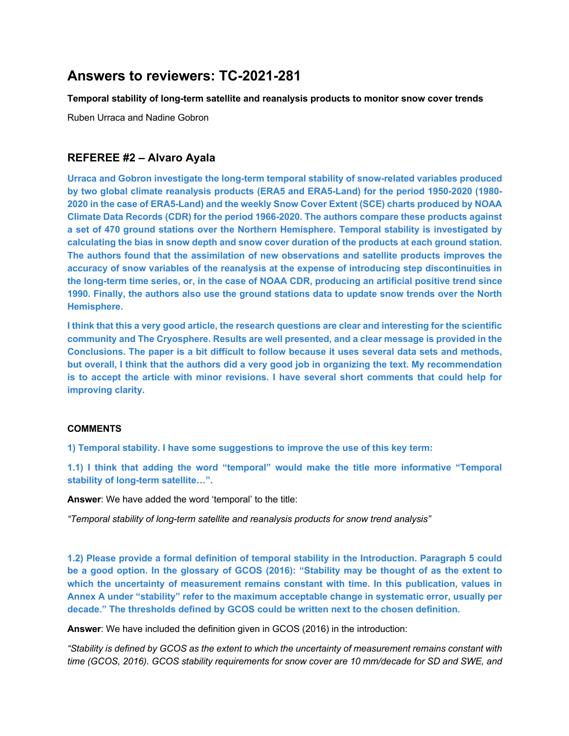# **Answers to reviewers: TC-2021-281**

**Temporal stability of long-term satellite and reanalysis products to monitor snow cover trends**

Ruben Urraca and Nadine Gobron

# **REFEREE #2 – Alvaro Ayala**

**Urraca and Gobron investigate the long-term temporal stability of snow-related variables produced by two global climate reanalysis products (ERA5 and ERA5-Land) for the period 1950-2020 (1980- 2020 in the case of ERA5-Land) and the weekly Snow Cover Extent (SCE) charts produced by NOAA Climate Data Records (CDR) for the period 1966-2020. The authors compare these products against a set of 470 ground stations over the Northern Hemisphere. Temporal stability is investigated by calculating the bias in snow depth and snow cover duration of the products at each ground station. The authors found that the assimilation of new observations and satellite products improves the accuracy of snow variables of the reanalysis at the expense of introducing step discontinuities in the long-term time series, or, in the case of NOAA CDR, producing an artificial positive trend since 1990. Finally, the authors also use the ground stations data to update snow trends over the North Hemisphere.**

**I think that this a very good article, the research questions are clear and interesting for the scientific community and The Cryosphere. Results are well presented, and a clear message is provided in the Conclusions. The paper is a bit difficult to follow because it uses several data sets and methods, but overall, I think that the authors did a very good job in organizing the text. My recommendation is to accept the article with minor revisions. I have several short comments that could help for improving clarity.**

## **COMMENTS**

**1) Temporal stability. I have some suggestions to improve the use of this key term:**

**1.1) I think that adding the word "temporal" would make the title more informative "Temporal stability of long-term satellite…".**

**Answer**: We have added the word 'temporal' to the title:

*"Temporal stability of long-term satellite and reanalysis products for snow trend analysis"*

**1.2) Please provide a formal definition of temporal stability in the Introduction. Paragraph 5 could be a good option. In the glossary of GCOS (2016): "Stability may be thought of as the extent to which the uncertainty of measurement remains constant with time. In this publication, values in Annex A under "stability" refer to the maximum acceptable change in systematic error, usually per decade." The thresholds defined by GCOS could be written next to the chosen definition.**

**Answer**: We have included the definition given in GCOS (2016) in the introduction:

*"Stability is defined by GCOS as the extent to which the uncertainty of measurement remains constant with time (GCOS, 2016). GCOS stability requirements for snow cover are 10 mm/decade for SD and SWE, and*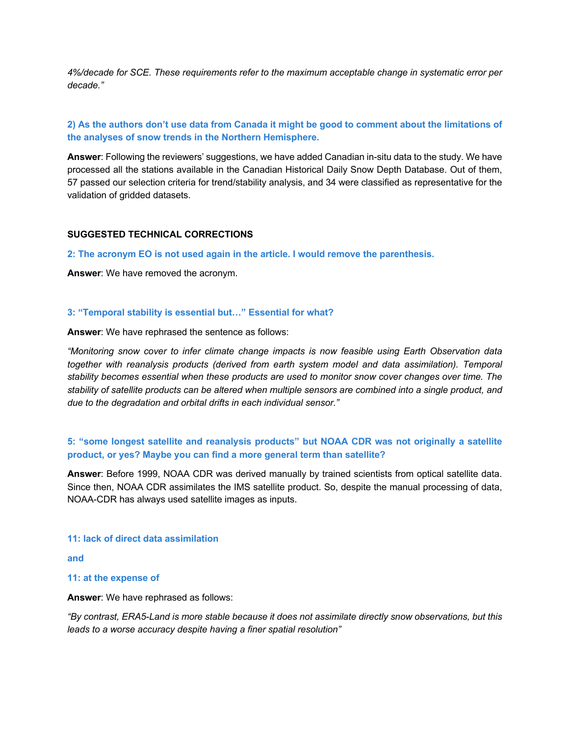*4%/decade for SCE. These requirements refer to the maximum acceptable change in systematic error per decade."*

# **2) As the authors don't use data from Canada it might be good to comment about the limitations of the analyses of snow trends in the Northern Hemisphere.**

**Answer**: Following the reviewers' suggestions, we have added Canadian in-situ data to the study. We have processed all the stations available in the Canadian Historical Daily Snow Depth Database. Out of them, 57 passed our selection criteria for trend/stability analysis, and 34 were classified as representative for the validation of gridded datasets.

## **SUGGESTED TECHNICAL CORRECTIONS**

**2: The acronym EO is not used again in the article. I would remove the parenthesis.**

**Answer**: We have removed the acronym.

### **3: "Temporal stability is essential but…" Essential for what?**

**Answer**: We have rephrased the sentence as follows:

*"Monitoring snow cover to infer climate change impacts is now feasible using Earth Observation data together with reanalysis products (derived from earth system model and data assimilation). Temporal stability becomes essential when these products are used to monitor snow cover changes over time. The stability of satellite products can be altered when multiple sensors are combined into a single product, and due to the degradation and orbital drifts in each individual sensor."*

# **5: "some longest satellite and reanalysis products" but NOAA CDR was not originally a satellite product, or yes? Maybe you can find a more general term than satellite?**

**Answer**: Before 1999, NOAA CDR was derived manually by trained scientists from optical satellite data. Since then, NOAA CDR assimilates the IMS satellite product. So, despite the manual processing of data, NOAA-CDR has always used satellite images as inputs.

### **11: lack of direct data assimilation**

**and** 

### **11: at the expense of**

**Answer**: We have rephrased as follows:

*"By contrast, ERA5-Land is more stable because it does not assimilate directly snow observations, but this leads to a worse accuracy despite having a finer spatial resolution"*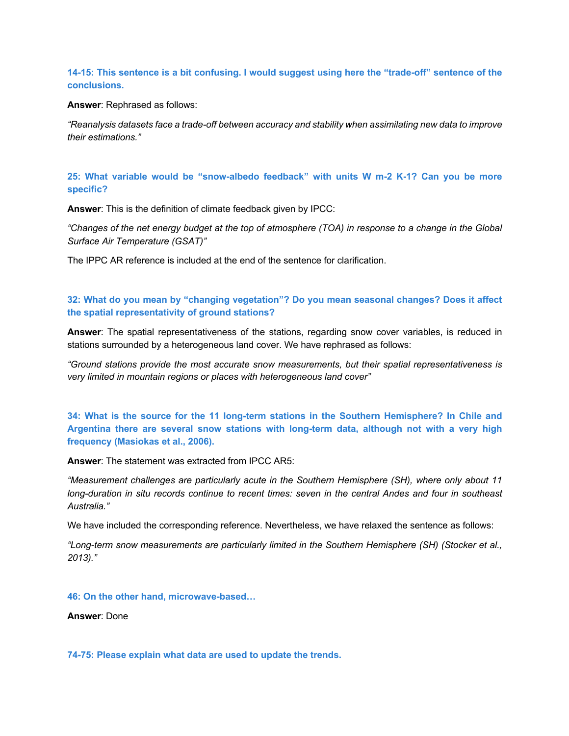## **14-15: This sentence is a bit confusing. I would suggest using here the "trade-off" sentence of the conclusions.**

**Answer**: Rephrased as follows:

*"Reanalysis datasets face a trade-off between accuracy and stability when assimilating new data to improve their estimations."*

## **25: What variable would be "snow-albedo feedback" with units W m-2 K-1? Can you be more specific?**

**Answer**: This is the definition of climate feedback given by IPCC:

*"Changes of the net energy budget at the top of atmosphere (TOA) in response to a change in the Global Surface Air Temperature (GSAT)"*

The IPPC AR reference is included at the end of the sentence for clarification.

## **32: What do you mean by "changing vegetation"? Do you mean seasonal changes? Does it affect the spatial representativity of ground stations?**

**Answer**: The spatial representativeness of the stations, regarding snow cover variables, is reduced in stations surrounded by a heterogeneous land cover. We have rephrased as follows:

*"Ground stations provide the most accurate snow measurements, but their spatial representativeness is very limited in mountain regions or places with heterogeneous land cover"*

**34: What is the source for the 11 long-term stations in the Southern Hemisphere? In Chile and Argentina there are several snow stations with long-term data, although not with a very high frequency (Masiokas et al., 2006).**

**Answer**: The statement was extracted from IPCC AR5:

*"Measurement challenges are particularly acute in the Southern Hemisphere (SH), where only about 11 long-duration in situ records continue to recent times: seven in the central Andes and four in southeast Australia."*

We have included the corresponding reference. Nevertheless, we have relaxed the sentence as follows:

*"Long-term snow measurements are particularly limited in the Southern Hemisphere (SH) (Stocker et al., 2013)."*

### **46: On the other hand, microwave-based…**

**Answer**: Done

**74-75: Please explain what data are used to update the trends.**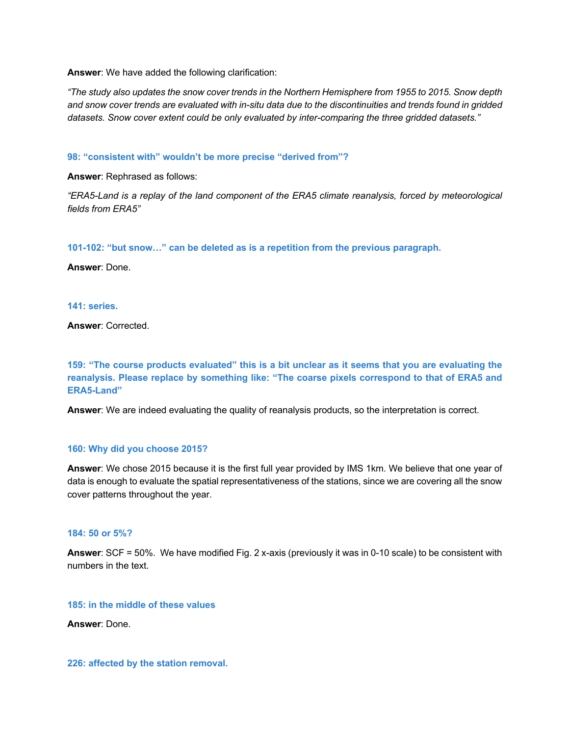**Answer**: We have added the following clarification:

*"The study also updates the snow cover trends in the Northern Hemisphere from 1955 to 2015. Snow depth and snow cover trends are evaluated with in-situ data due to the discontinuities and trends found in gridded datasets. Snow cover extent could be only evaluated by inter-comparing the three gridded datasets."*

**98: "consistent with" wouldn't be more precise "derived from"?**

**Answer**: Rephrased as follows:

*"ERA5-Land is a replay of the land component of the ERA5 climate reanalysis, forced by meteorological fields from ERA5"*

**101-102: "but snow…" can be deleted as is a repetition from the previous paragraph.**

**Answer**: Done.

**141: series.**

**Answer**: Corrected.

**159: "The course products evaluated" this is a bit unclear as it seems that you are evaluating the reanalysis. Please replace by something like: "The coarse pixels correspond to that of ERA5 and ERA5-Land"**

**Answer**: We are indeed evaluating the quality of reanalysis products, so the interpretation is correct.

### **160: Why did you choose 2015?**

**Answer**: We chose 2015 because it is the first full year provided by IMS 1km. We believe that one year of data is enough to evaluate the spatial representativeness of the stations, since we are covering all the snow cover patterns throughout the year.

## **184: 50 or 5%?**

**Answer**: SCF = 50%. We have modified Fig. 2 x-axis (previously it was in 0-10 scale) to be consistent with numbers in the text.

**185: in the middle of these values**

**Answer**: Done.

**226: affected by the station removal.**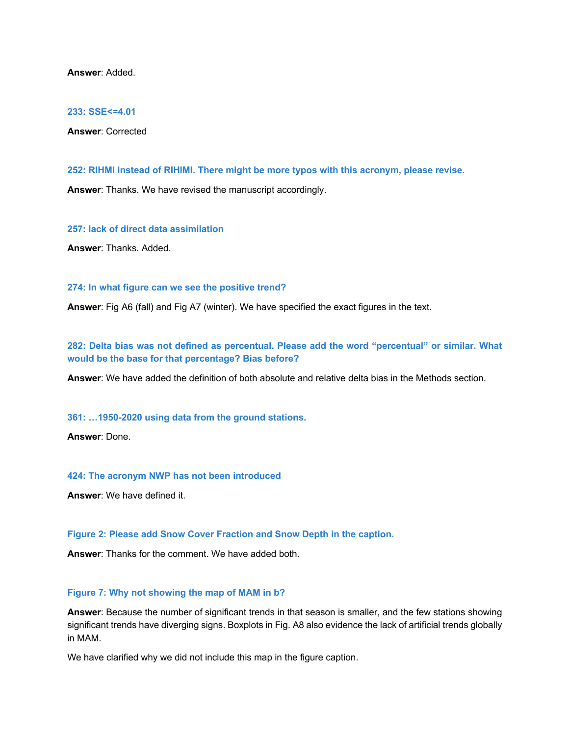**Answer**: Added.

#### **233: SSE<=4.01**

**Answer**: Corrected

**252: RIHMI instead of RIHIMI. There might be more typos with this acronym, please revise.**

**Answer**: Thanks. We have revised the manuscript accordingly.

**257: lack of direct data assimilation**

**Answer**: Thanks. Added.

#### **274: In what figure can we see the positive trend?**

**Answer**: Fig A6 (fall) and Fig A7 (winter). We have specified the exact figures in the text.

**282: Delta bias was not defined as percentual. Please add the word "percentual" or similar. What would be the base for that percentage? Bias before?**

**Answer**: We have added the definition of both absolute and relative delta bias in the Methods section.

**361: …1950-2020 using data from the ground stations.**

**Answer**: Done.

#### **424: The acronym NWP has not been introduced**

**Answer**: We have defined it.

#### **Figure 2: Please add Snow Cover Fraction and Snow Depth in the caption.**

**Answer**: Thanks for the comment. We have added both.

#### **Figure 7: Why not showing the map of MAM in b?**

**Answer**: Because the number of significant trends in that season is smaller, and the few stations showing significant trends have diverging signs. Boxplots in Fig. A8 also evidence the lack of artificial trends globally in MAM.

We have clarified why we did not include this map in the figure caption.